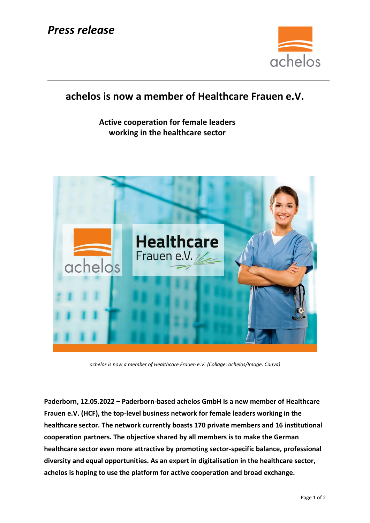

## **achelos is now a member of Healthcare Frauen e.V.**

**Active cooperation for female leaders working in the healthcare sector**



*achelos is now a member of Healthcare Frauen e.V. (Collage: achelos/Image: Canva)*

**Paderborn, 12.05.2022 – Paderborn-based achelos GmbH is a new member of Healthcare Frauen e.V. (HCF), the top-level business network for female leaders working in the healthcare sector. The network currently boasts 170 private members and 16 institutional cooperation partners. The objective shared by all members is to make the German healthcare sector even more attractive by promoting sector-specific balance, professional diversity and equal opportunities. As an expert in digitalisation in the healthcare sector, achelos is hoping to use the platform for active cooperation and broad exchange.**